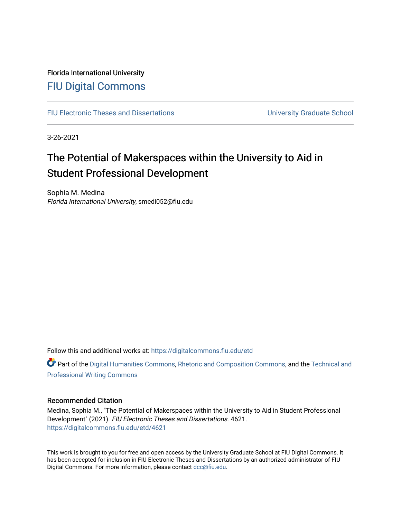### Florida International University [FIU Digital Commons](https://digitalcommons.fiu.edu/)

[FIU Electronic Theses and Dissertations](https://digitalcommons.fiu.edu/etd) **EXECUTE:** University Graduate School

3-26-2021

# The Potential of Makerspaces within the University to Aid in Student Professional Development

Sophia M. Medina Florida International University, smedi052@fiu.edu

Follow this and additional works at: [https://digitalcommons.fiu.edu/etd](https://digitalcommons.fiu.edu/etd?utm_source=digitalcommons.fiu.edu%2Fetd%2F4621&utm_medium=PDF&utm_campaign=PDFCoverPages)

Part of the [Digital Humanities Commons](http://network.bepress.com/hgg/discipline/1286?utm_source=digitalcommons.fiu.edu%2Fetd%2F4621&utm_medium=PDF&utm_campaign=PDFCoverPages), [Rhetoric and Composition Commons,](http://network.bepress.com/hgg/discipline/573?utm_source=digitalcommons.fiu.edu%2Fetd%2F4621&utm_medium=PDF&utm_campaign=PDFCoverPages) and the [Technical and](http://network.bepress.com/hgg/discipline/1347?utm_source=digitalcommons.fiu.edu%2Fetd%2F4621&utm_medium=PDF&utm_campaign=PDFCoverPages) [Professional Writing Commons](http://network.bepress.com/hgg/discipline/1347?utm_source=digitalcommons.fiu.edu%2Fetd%2F4621&utm_medium=PDF&utm_campaign=PDFCoverPages)

#### Recommended Citation

Medina, Sophia M., "The Potential of Makerspaces within the University to Aid in Student Professional Development" (2021). FIU Electronic Theses and Dissertations. 4621. [https://digitalcommons.fiu.edu/etd/4621](https://digitalcommons.fiu.edu/etd/4621?utm_source=digitalcommons.fiu.edu%2Fetd%2F4621&utm_medium=PDF&utm_campaign=PDFCoverPages) 

This work is brought to you for free and open access by the University Graduate School at FIU Digital Commons. It has been accepted for inclusion in FIU Electronic Theses and Dissertations by an authorized administrator of FIU Digital Commons. For more information, please contact [dcc@fiu.edu](mailto:dcc@fiu.edu).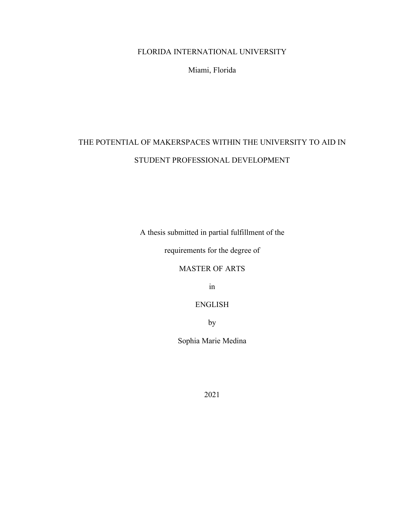### FLORIDA INTERNATIONAL UNIVERSITY

Miami, Florida

## THE POTENTIAL OF MAKERSPACES WITHIN THE UNIVERSITY TO AID IN STUDENT PROFESSIONAL DEVELOPMENT

A thesis submitted in partial fulfillment of the

requirements for the degree of

MASTER OF ARTS

in

ENGLISH

by

Sophia Marie Medina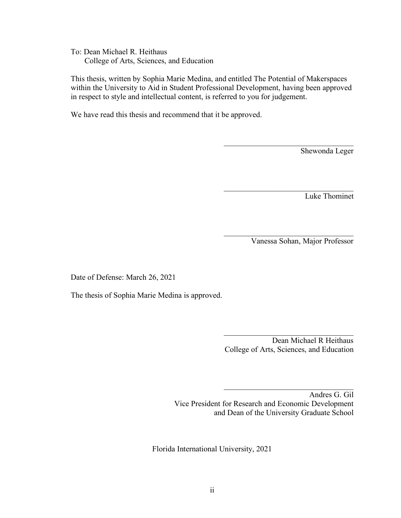To: Dean Michael R. Heithaus College of Arts, Sciences, and Education

 This thesis, written by Sophia Marie Medina, and entitled The Potential of Makerspaces within the University to Aid in Student Professional Development, having been approved in respect to style and intellectual content, is referred to you for judgement.

We have read this thesis and recommend that it be approved.

Shewonda Leger

Luke Thominet

Vanessa Sohan, Major Professor

Date of Defense: March 26, 2021

The thesis of Sophia Marie Medina is approved.

Dean Michael R Heithaus College of Arts, Sciences, and Education

 $\mathcal{L}_\mathcal{L}$  , where  $\mathcal{L}_\mathcal{L}$  , we have the set of the set of the set of the set of the set of the set of the set of the set of the set of the set of the set of the set of the set of the set of the set of the set

 $\mathcal{L}_\mathcal{L}$  , where  $\mathcal{L}_\mathcal{L}$  , we have the set of the set of the set of the set of the set of the set of the set of the set of the set of the set of the set of the set of the set of the set of the set of the set

 Andres G. Gil Vice President for Research and Economic Development and Dean of the University Graduate School

Florida International University, 2021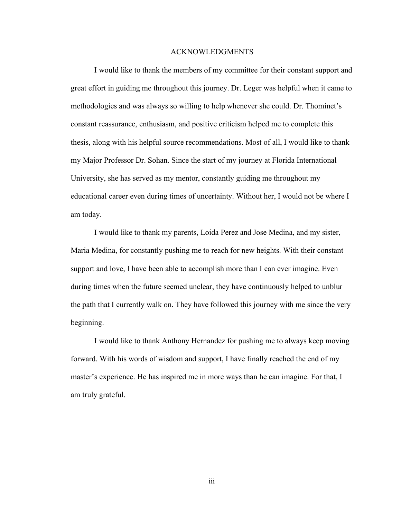#### ACKNOWLEDGMENTS

I would like to thank the members of my committee for their constant support and great effort in guiding me throughout this journey. Dr. Leger was helpful when it came to methodologies and was always so willing to help whenever she could. Dr. Thominet's constant reassurance, enthusiasm, and positive criticism helped me to complete this thesis, along with his helpful source recommendations. Most of all, I would like to thank my Major Professor Dr. Sohan. Since the start of my journey at Florida International University, she has served as my mentor, constantly guiding me throughout my educational career even during times of uncertainty. Without her, I would not be where I am today.

I would like to thank my parents, Loida Perez and Jose Medina, and my sister, Maria Medina, for constantly pushing me to reach for new heights. With their constant support and love, I have been able to accomplish more than I can ever imagine. Even during times when the future seemed unclear, they have continuously helped to unblur the path that I currently walk on. They have followed this journey with me since the very beginning.

I would like to thank Anthony Hernandez for pushing me to always keep moving forward. With his words of wisdom and support, I have finally reached the end of my master's experience. He has inspired me in more ways than he can imagine. For that, I am truly grateful.

iii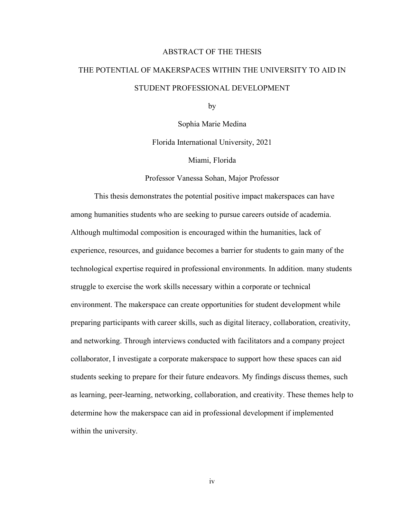#### ABSTRACT OF THE THESIS

### THE POTENTIAL OF MAKERSPACES WITHIN THE UNIVERSITY TO AID IN STUDENT PROFESSIONAL DEVELOPMENT

by

Sophia Marie Medina

Florida International University, 2021

Miami, Florida

Professor Vanessa Sohan, Major Professor

This thesis demonstrates the potential positive impact makerspaces can have among humanities students who are seeking to pursue careers outside of academia. Although multimodal composition is encouraged within the humanities, lack of experience, resources, and guidance becomes a barrier for students to gain many of the technological expertise required in professional environments. In addition. many students struggle to exercise the work skills necessary within a corporate or technical environment. The makerspace can create opportunities for student development while preparing participants with career skills, such as digital literacy, collaboration, creativity, and networking. Through interviews conducted with facilitators and a company project collaborator, I investigate a corporate makerspace to support how these spaces can aid students seeking to prepare for their future endeavors. My findings discuss themes, such as learning, peer-learning, networking, collaboration, and creativity. These themes help to determine how the makerspace can aid in professional development if implemented within the university.

iv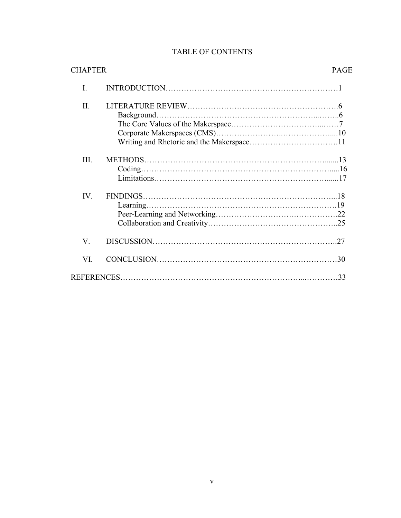| <b>TABLE OF CONTENTS</b> |  |
|--------------------------|--|
|--------------------------|--|

| <b>CHAPTER</b> | <b>PAGE</b> |
|----------------|-------------|
| I.             |             |
| II.            |             |
|                |             |
| III.           |             |
| IV.            |             |
| V.             |             |
| VI.            |             |
|                |             |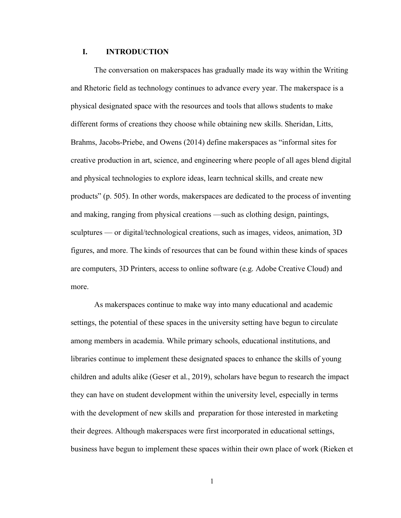#### **I. INTRODUCTION**

The conversation on makerspaces has gradually made its way within the Writing and Rhetoric field as technology continues to advance every year. The makerspace is a physical designated space with the resources and tools that allows students to make different forms of creations they choose while obtaining new skills. Sheridan, Litts, Brahms, Jacobs-Priebe, and Owens (2014) define makerspaces as "informal sites for creative production in art, science, and engineering where people of all ages blend digital and physical technologies to explore ideas, learn technical skills, and create new products" (p. 505). In other words, makerspaces are dedicated to the process of inventing and making, ranging from physical creations —such as clothing design, paintings, sculptures — or digital/technological creations, such as images, videos, animation, 3D figures, and more. The kinds of resources that can be found within these kinds of spaces are computers, 3D Printers, access to online software (e.g. Adobe Creative Cloud) and more.

As makerspaces continue to make way into many educational and academic settings, the potential of these spaces in the university setting have begun to circulate among members in academia. While primary schools, educational institutions, and libraries continue to implement these designated spaces to enhance the skills of young children and adults alike (Geser et al., 2019), scholars have begun to research the impact they can have on student development within the university level, especially in terms with the development of new skills and preparation for those interested in marketing their degrees. Although makerspaces were first incorporated in educational settings, business have begun to implement these spaces within their own place of work (Rieken et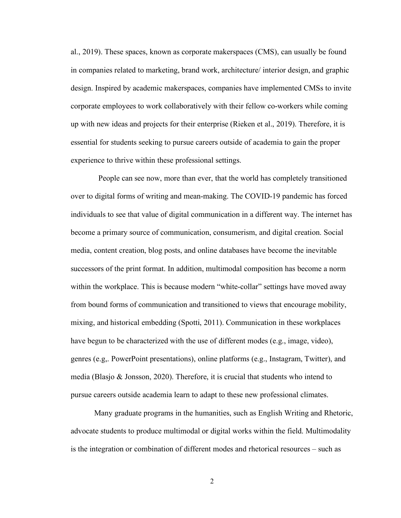al., 2019). These spaces, known as corporate makerspaces (CMS), can usually be found in companies related to marketing, brand work, architecture/ interior design, and graphic design. Inspired by academic makerspaces, companies have implemented CMSs to invite corporate employees to work collaboratively with their fellow co-workers while coming up with new ideas and projects for their enterprise (Rieken et al., 2019). Therefore, it is essential for students seeking to pursue careers outside of academia to gain the proper experience to thrive within these professional settings.

 People can see now, more than ever, that the world has completely transitioned over to digital forms of writing and mean-making. The COVID-19 pandemic has forced individuals to see that value of digital communication in a different way. The internet has become a primary source of communication, consumerism, and digital creation. Social media, content creation, blog posts, and online databases have become the inevitable successors of the print format. In addition, multimodal composition has become a norm within the workplace. This is because modern "white-collar" settings have moved away from bound forms of communication and transitioned to views that encourage mobility, mixing, and historical embedding (Spotti, 2011). Communication in these workplaces have begun to be characterized with the use of different modes (e.g., image, video), genres (e.g,. PowerPoint presentations), online platforms (e.g., Instagram, Twitter), and media (Blasjo & Jonsson, 2020). Therefore, it is crucial that students who intend to pursue careers outside academia learn to adapt to these new professional climates.

Many graduate programs in the humanities, such as English Writing and Rhetoric, advocate students to produce multimodal or digital works within the field. Multimodality is the integration or combination of different modes and rhetorical resources – such as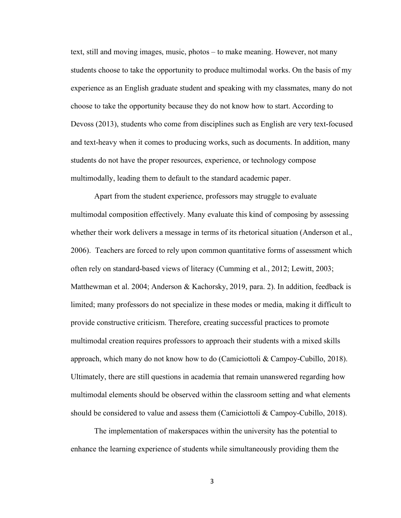text, still and moving images, music, photos – to make meaning. However, not many students choose to take the opportunity to produce multimodal works. On the basis of my experience as an English graduate student and speaking with my classmates, many do not choose to take the opportunity because they do not know how to start. According to Devoss (2013), students who come from disciplines such as English are very text-focused and text-heavy when it comes to producing works, such as documents. In addition, many students do not have the proper resources, experience, or technology compose multimodally, leading them to default to the standard academic paper.

Apart from the student experience, professors may struggle to evaluate multimodal composition effectively. Many evaluate this kind of composing by assessing whether their work delivers a message in terms of its rhetorical situation (Anderson et al., 2006). Teachers are forced to rely upon common quantitative forms of assessment which often rely on standard-based views of literacy (Cumming et al., 2012; Lewitt, 2003; Matthewman et al. 2004; Anderson & Kachorsky, 2019, para. 2). In addition, feedback is limited; many professors do not specialize in these modes or media, making it difficult to provide constructive criticism. Therefore, creating successful practices to promote multimodal creation requires professors to approach their students with a mixed skills approach, which many do not know how to do (Camiciottoli & Campoy-Cubillo, 2018). Ultimately, there are still questions in academia that remain unanswered regarding how multimodal elements should be observed within the classroom setting and what elements should be considered to value and assess them (Camiciottoli & Campoy-Cubillo, 2018).

The implementation of makerspaces within the university has the potential to enhance the learning experience of students while simultaneously providing them the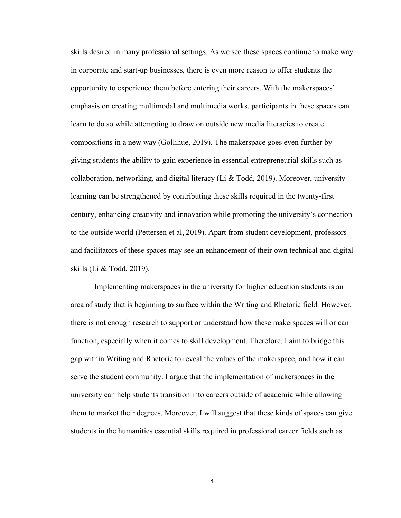skills desired in many professional settings. As we see these spaces continue to make way in corporate and start-up businesses, there is even more reason to offer students the opportunity to experience them before entering their careers. With the makerspaces' emphasis on creating multimodal and multimedia works, participants in these spaces can learn to do so while attempting to draw on outside new media literacies to create compositions in a new way (Gollihue, 2019). The makerspace goes even further by giving students the ability to gain experience in essential entrepreneurial skills such as collaboration, networking, and digital literacy (Li & Todd, 2019). Moreover, university learning can be strengthened by contributing these skills required in the twenty-first century, enhancing creativity and innovation while promoting the university's connection to the outside world (Pettersen et al, 2019). Apart from student development, professors and facilitators of these spaces may see an enhancement of their own technical and digital skills (Li & Todd, 2019).

Implementing makerspaces in the university for higher education students is an area of study that is beginning to surface within the Writing and Rhetoric field. However, there is not enough research to support or understand how these makerspaces will or can function, especially when it comes to skill development. Therefore, I aim to bridge this gap within Writing and Rhetoric to reveal the values of the makerspace, and how it can serve the student community. I argue that the implementation of makerspaces in the university can help students transition into careers outside of academia while allowing them to market their degrees. Moreover, I will suggest that these kinds of spaces can give students in the humanities essential skills required in professional career fields such as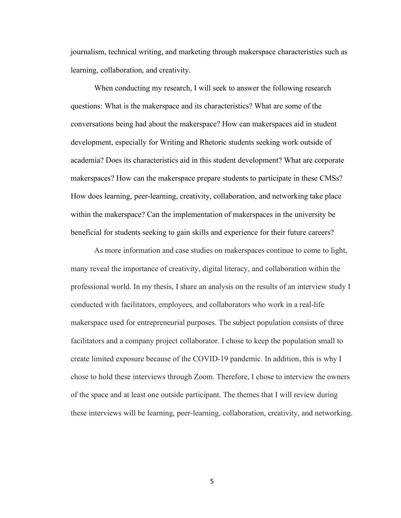journalism, technical writing, and marketing through makerspace characteristics such as learning, collaboration, and creativity.

When conducting my research, I will seek to answer the following research questions: What is the makerspace and its characteristics? What are some of the conversations being had about the makerspace? How can makerspaces aid in student development, especially for Writing and Rhetoric students seeking work outside of academia? Does its characteristics aid in this student development? What are corporate makerspaces? How can the makerspace prepare students to participate in these CMSs? How does learning, peer-learning, creativity, collaboration, and networking take place within the makerspace? Can the implementation of makerspaces in the university be beneficial for students seeking to gain skills and experience for their future careers?

As more information and case studies on makerspaces continue to come to light, many reveal the importance of creativity, digital literacy, and collaboration within the professional world. In my thesis, I share an analysis on the results of an interview study I conducted with facilitators, employees, and collaborators who work in a real-life makerspace used for entrepreneurial purposes. The subject population consists of three facilitators and a company project collaborator. I chose to keep the population small to create limited exposure because of the COVID-19 pandemic. In addition, this is why I chose to hold these interviews through Zoom. Therefore, I chose to interview the owners of the space and at least one outside participant. The themes that I will review during these interviews will be learning, peer-learning, collaboration, creativity, and networking.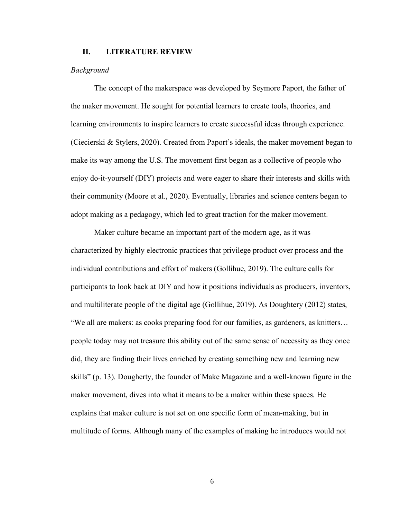#### **II. LITERATURE REVIEW**

#### *Background*

The concept of the makerspace was developed by Seymore Paport, the father of the maker movement. He sought for potential learners to create tools, theories, and learning environments to inspire learners to create successful ideas through experience. (Ciecierski & Stylers, 2020). Created from Paport's ideals, the maker movement began to make its way among the U.S. The movement first began as a collective of people who enjoy do-it-yourself (DIY) projects and were eager to share their interests and skills with their community (Moore et al., 2020). Eventually, libraries and science centers began to adopt making as a pedagogy, which led to great traction for the maker movement.

Maker culture became an important part of the modern age, as it was characterized by highly electronic practices that privilege product over process and the individual contributions and effort of makers (Gollihue, 2019). The culture calls for participants to look back at DIY and how it positions individuals as producers, inventors, and multiliterate people of the digital age (Gollihue, 2019). As Doughtery (2012) states, "We all are makers: as cooks preparing food for our families, as gardeners, as knitters… people today may not treasure this ability out of the same sense of necessity as they once did, they are finding their lives enriched by creating something new and learning new skills" (p. 13). Dougherty, the founder of Make Magazine and a well-known figure in the maker movement, dives into what it means to be a maker within these spaces. He explains that maker culture is not set on one specific form of mean-making, but in multitude of forms. Although many of the examples of making he introduces would not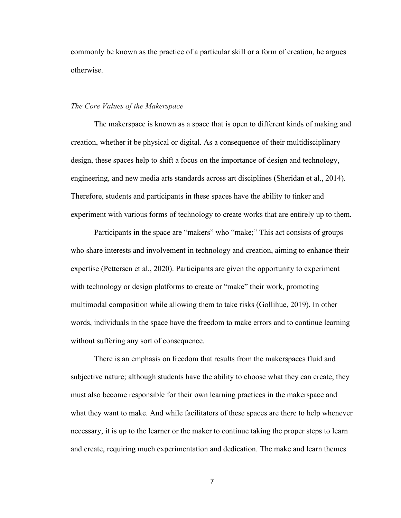commonly be known as the practice of a particular skill or a form of creation, he argues otherwise.

#### *The Core Values of the Makerspace*

The makerspace is known as a space that is open to different kinds of making and creation, whether it be physical or digital. As a consequence of their multidisciplinary design, these spaces help to shift a focus on the importance of design and technology, engineering, and new media arts standards across art disciplines (Sheridan et al., 2014). Therefore, students and participants in these spaces have the ability to tinker and experiment with various forms of technology to create works that are entirely up to them.

Participants in the space are "makers" who "make;" This act consists of groups who share interests and involvement in technology and creation, aiming to enhance their expertise (Pettersen et al., 2020). Participants are given the opportunity to experiment with technology or design platforms to create or "make" their work, promoting multimodal composition while allowing them to take risks (Gollihue, 2019). In other words, individuals in the space have the freedom to make errors and to continue learning without suffering any sort of consequence.

There is an emphasis on freedom that results from the makerspaces fluid and subjective nature; although students have the ability to choose what they can create, they must also become responsible for their own learning practices in the makerspace and what they want to make. And while facilitators of these spaces are there to help whenever necessary, it is up to the learner or the maker to continue taking the proper steps to learn and create, requiring much experimentation and dedication. The make and learn themes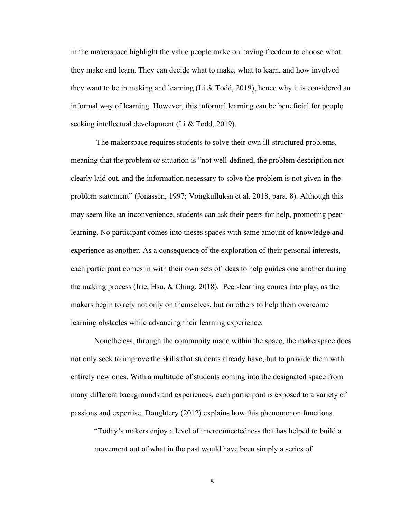in the makerspace highlight the value people make on having freedom to choose what they make and learn. They can decide what to make, what to learn, and how involved they want to be in making and learning (Li & Todd, 2019), hence why it is considered an informal way of learning. However, this informal learning can be beneficial for people seeking intellectual development (Li & Todd, 2019).

The makerspace requires students to solve their own ill-structured problems, meaning that the problem or situation is "not well-defined, the problem description not clearly laid out, and the information necessary to solve the problem is not given in the problem statement" (Jonassen, 1997; Vongkulluksn et al. 2018, para. 8). Although this may seem like an inconvenience, students can ask their peers for help, promoting peerlearning. No participant comes into theses spaces with same amount of knowledge and experience as another. As a consequence of the exploration of their personal interests, each participant comes in with their own sets of ideas to help guides one another during the making process (Irie, Hsu, & Ching, 2018). Peer-learning comes into play, as the makers begin to rely not only on themselves, but on others to help them overcome learning obstacles while advancing their learning experience.

Nonetheless, through the community made within the space, the makerspace does not only seek to improve the skills that students already have, but to provide them with entirely new ones. With a multitude of students coming into the designated space from many different backgrounds and experiences, each participant is exposed to a variety of passions and expertise. Doughtery (2012) explains how this phenomenon functions.

"Today's makers enjoy a level of interconnectedness that has helped to build a movement out of what in the past would have been simply a series of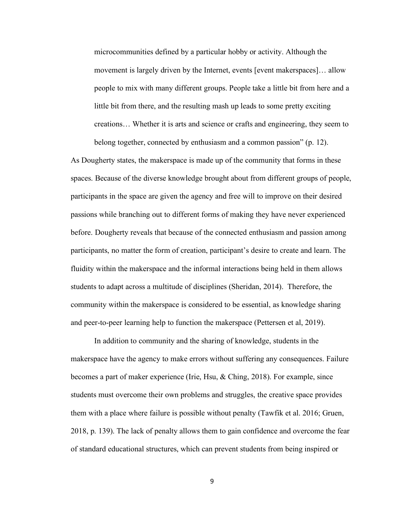microcommunities defined by a particular hobby or activity. Although the movement is largely driven by the Internet, events [event makerspaces]… allow people to mix with many different groups. People take a little bit from here and a little bit from there, and the resulting mash up leads to some pretty exciting creations… Whether it is arts and science or crafts and engineering, they seem to belong together, connected by enthusiasm and a common passion" (p. 12).

As Dougherty states, the makerspace is made up of the community that forms in these spaces. Because of the diverse knowledge brought about from different groups of people, participants in the space are given the agency and free will to improve on their desired passions while branching out to different forms of making they have never experienced before. Dougherty reveals that because of the connected enthusiasm and passion among participants, no matter the form of creation, participant's desire to create and learn. The fluidity within the makerspace and the informal interactions being held in them allows students to adapt across a multitude of disciplines (Sheridan, 2014). Therefore, the community within the makerspace is considered to be essential, as knowledge sharing and peer-to-peer learning help to function the makerspace (Pettersen et al, 2019).

In addition to community and the sharing of knowledge, students in the makerspace have the agency to make errors without suffering any consequences. Failure becomes a part of maker experience (Irie, Hsu, & Ching, 2018). For example, since students must overcome their own problems and struggles, the creative space provides them with a place where failure is possible without penalty (Tawfik et al. 2016; Gruen, 2018, p. 139). The lack of penalty allows them to gain confidence and overcome the fear of standard educational structures, which can prevent students from being inspired or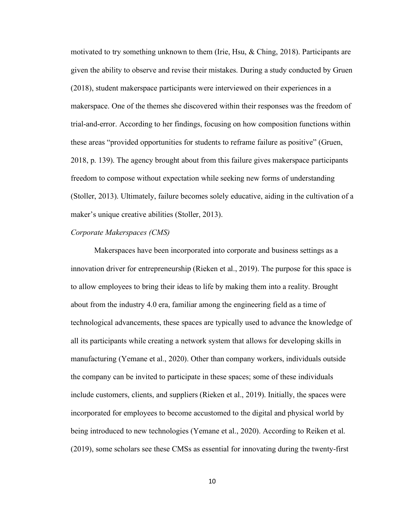motivated to try something unknown to them (Irie, Hsu, & Ching, 2018). Participants are given the ability to observe and revise their mistakes. During a study conducted by Gruen (2018), student makerspace participants were interviewed on their experiences in a makerspace. One of the themes she discovered within their responses was the freedom of trial-and-error. According to her findings, focusing on how composition functions within these areas "provided opportunities for students to reframe failure as positive" (Gruen, 2018, p. 139). The agency brought about from this failure gives makerspace participants freedom to compose without expectation while seeking new forms of understanding (Stoller, 2013). Ultimately, failure becomes solely educative, aiding in the cultivation of a maker's unique creative abilities (Stoller, 2013).

#### *Corporate Makerspaces (CMS)*

Makerspaces have been incorporated into corporate and business settings as a innovation driver for entrepreneurship (Rieken et al., 2019). The purpose for this space is to allow employees to bring their ideas to life by making them into a reality. Brought about from the industry 4.0 era, familiar among the engineering field as a time of technological advancements, these spaces are typically used to advance the knowledge of all its participants while creating a network system that allows for developing skills in manufacturing (Yemane et al., 2020). Other than company workers, individuals outside the company can be invited to participate in these spaces; some of these individuals include customers, clients, and suppliers (Rieken et al., 2019). Initially, the spaces were incorporated for employees to become accustomed to the digital and physical world by being introduced to new technologies (Yemane et al., 2020). According to Reiken et al. (2019), some scholars see these CMSs as essential for innovating during the twenty-first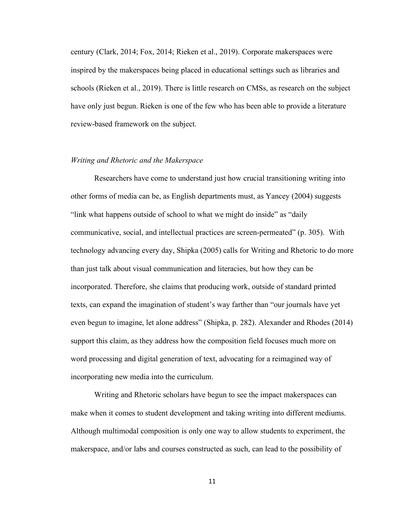century (Clark, 2014; Fox, 2014; Rieken et al., 2019). Corporate makerspaces were inspired by the makerspaces being placed in educational settings such as libraries and schools (Rieken et al., 2019). There is little research on CMSs, as research on the subject have only just begun. Rieken is one of the few who has been able to provide a literature review-based framework on the subject.

#### *Writing and Rhetoric and the Makerspace*

Researchers have come to understand just how crucial transitioning writing into other forms of media can be, as English departments must, as Yancey (2004) suggests "link what happens outside of school to what we might do inside" as "daily communicative, social, and intellectual practices are screen-permeated" (p. 305). With technology advancing every day, Shipka (2005) calls for Writing and Rhetoric to do more than just talk about visual communication and literacies, but how they can be incorporated. Therefore, she claims that producing work, outside of standard printed texts, can expand the imagination of student's way farther than "our journals have yet even begun to imagine, let alone address" (Shipka, p. 282). Alexander and Rhodes (2014) support this claim, as they address how the composition field focuses much more on word processing and digital generation of text, advocating for a reimagined way of incorporating new media into the curriculum.

Writing and Rhetoric scholars have begun to see the impact makerspaces can make when it comes to student development and taking writing into different mediums. Although multimodal composition is only one way to allow students to experiment, the makerspace, and/or labs and courses constructed as such, can lead to the possibility of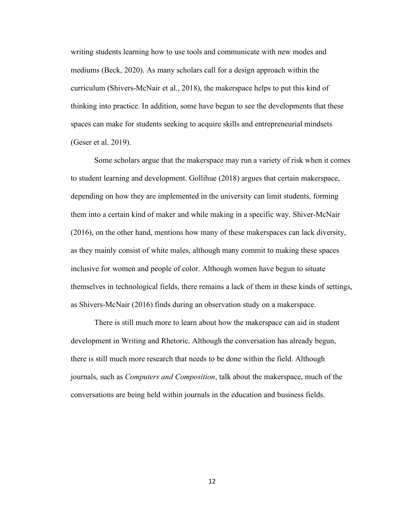writing students learning how to use tools and communicate with new modes and mediums (Beck, 2020). As many scholars call for a design approach within the curriculum (Shivers-McNair et al., 2018), the makerspace helps to put this kind of thinking into practice. In addition, some have begun to see the developments that these spaces can make for students seeking to acquire skills and entrepreneurial mindsets (Geser et al. 2019).

Some scholars argue that the makerspace may run a variety of risk when it comes to student learning and development. Gollihue (2018) argues that certain makerspace, depending on how they are implemented in the university can limit students, forming them into a certain kind of maker and while making in a specific way. Shiver-McNair (2016), on the other hand, mentions how many of these makerspaces can lack diversity, as they mainly consist of white males, although many commit to making these spaces inclusive for women and people of color. Although women have begun to situate themselves in technological fields, there remains a lack of them in these kinds of settings, as Shivers-McNair (2016) finds during an observation study on a makerspace.

There is still much more to learn about how the makerspace can aid in student development in Writing and Rhetoric. Although the conversation has already begun, there is still much more research that needs to be done within the field. Although journals, such as *Computers and Composition*, talk about the makerspace, much of the conversations are being held within journals in the education and business fields.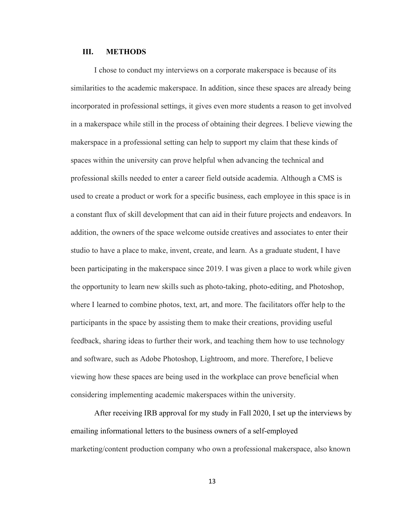#### **III. METHODS**

I chose to conduct my interviews on a corporate makerspace is because of its similarities to the academic makerspace. In addition, since these spaces are already being incorporated in professional settings, it gives even more students a reason to get involved in a makerspace while still in the process of obtaining their degrees. I believe viewing the makerspace in a professional setting can help to support my claim that these kinds of spaces within the university can prove helpful when advancing the technical and professional skills needed to enter a career field outside academia. Although a CMS is used to create a product or work for a specific business, each employee in this space is in a constant flux of skill development that can aid in their future projects and endeavors. In addition, the owners of the space welcome outside creatives and associates to enter their studio to have a place to make, invent, create, and learn. As a graduate student, I have been participating in the makerspace since 2019. I was given a place to work while given the opportunity to learn new skills such as photo-taking, photo-editing, and Photoshop, where I learned to combine photos, text, art, and more. The facilitators offer help to the participants in the space by assisting them to make their creations, providing useful feedback, sharing ideas to further their work, and teaching them how to use technology and software, such as Adobe Photoshop, Lightroom, and more. Therefore, I believe viewing how these spaces are being used in the workplace can prove beneficial when considering implementing academic makerspaces within the university.

After receiving IRB approval for my study in Fall 2020, I set up the interviews by emailing informational letters to the business owners of a self-employed marketing/content production company who own a professional makerspace, also known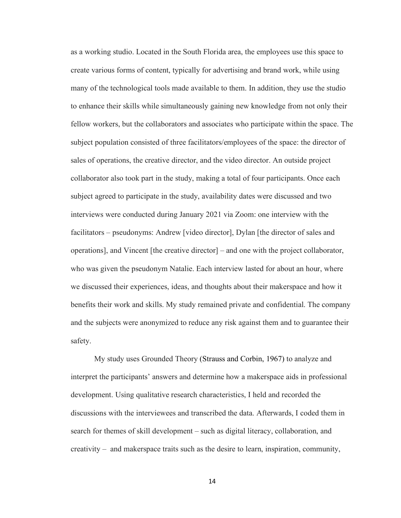as a working studio. Located in the South Florida area, the employees use this space to create various forms of content, typically for advertising and brand work, while using many of the technological tools made available to them. In addition, they use the studio to enhance their skills while simultaneously gaining new knowledge from not only their fellow workers, but the collaborators and associates who participate within the space. The subject population consisted of three facilitators/employees of the space: the director of sales of operations, the creative director, and the video director. An outside project collaborator also took part in the study, making a total of four participants. Once each subject agreed to participate in the study, availability dates were discussed and two interviews were conducted during January 2021 via Zoom: one interview with the facilitators – pseudonyms: Andrew [video director], Dylan [the director of sales and operations], and Vincent [the creative director] – and one with the project collaborator, who was given the pseudonym Natalie. Each interview lasted for about an hour, where we discussed their experiences, ideas, and thoughts about their makerspace and how it benefits their work and skills. My study remained private and confidential. The company and the subjects were anonymized to reduce any risk against them and to guarantee their safety.

My study uses Grounded Theory (Strauss and Corbin, 1967) to analyze and interpret the participants' answers and determine how a makerspace aids in professional development. Using qualitative research characteristics, I held and recorded the discussions with the interviewees and transcribed the data. Afterwards, I coded them in search for themes of skill development – such as digital literacy, collaboration, and creativity – and makerspace traits such as the desire to learn, inspiration, community,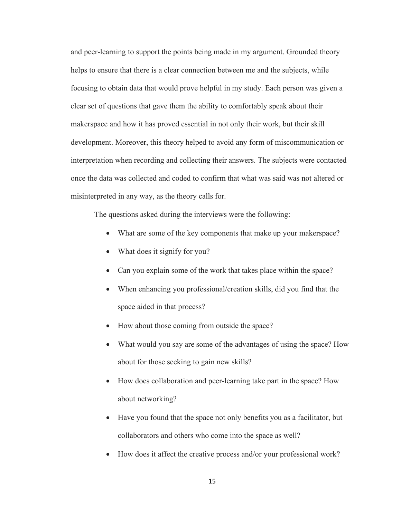and peer-learning to support the points being made in my argument. Grounded theory helps to ensure that there is a clear connection between me and the subjects, while focusing to obtain data that would prove helpful in my study. Each person was given a clear set of questions that gave them the ability to comfortably speak about their makerspace and how it has proved essential in not only their work, but their skill development. Moreover, this theory helped to avoid any form of miscommunication or interpretation when recording and collecting their answers. The subjects were contacted once the data was collected and coded to confirm that what was said was not altered or misinterpreted in any way, as the theory calls for.

The questions asked during the interviews were the following:

- What are some of the key components that make up your makerspace?
- What does it signify for you?
- Can you explain some of the work that takes place within the space?
- When enhancing you professional/creation skills, did you find that the space aided in that process?
- How about those coming from outside the space?
- What would you say are some of the advantages of using the space? How about for those seeking to gain new skills?
- How does collaboration and peer-learning take part in the space? How about networking?
- Have you found that the space not only benefits you as a facilitator, but collaborators and others who come into the space as well?
- How does it affect the creative process and/or your professional work?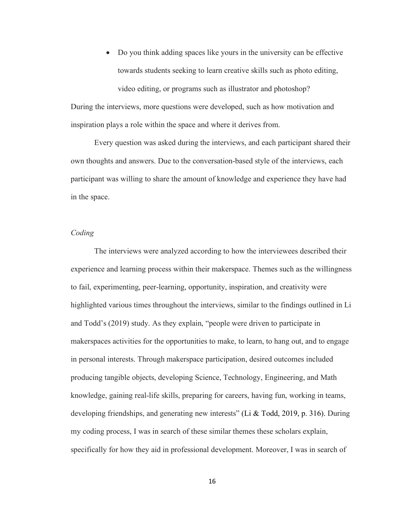• Do you think adding spaces like yours in the university can be effective towards students seeking to learn creative skills such as photo editing, video editing, or programs such as illustrator and photoshop?

During the interviews, more questions were developed, such as how motivation and inspiration plays a role within the space and where it derives from.

Every question was asked during the interviews, and each participant shared their own thoughts and answers. Due to the conversation-based style of the interviews, each participant was willing to share the amount of knowledge and experience they have had in the space.

#### *Coding*

The interviews were analyzed according to how the interviewees described their experience and learning process within their makerspace. Themes such as the willingness to fail, experimenting, peer-learning, opportunity, inspiration, and creativity were highlighted various times throughout the interviews, similar to the findings outlined in Li and Todd's (2019) study. As they explain, "people were driven to participate in makerspaces activities for the opportunities to make, to learn, to hang out, and to engage in personal interests. Through makerspace participation, desired outcomes included producing tangible objects, developing Science, Technology, Engineering, and Math knowledge, gaining real-life skills, preparing for careers, having fun, working in teams, developing friendships, and generating new interests" (Li & Todd, 2019, p. 316). During my coding process, I was in search of these similar themes these scholars explain, specifically for how they aid in professional development. Moreover, I was in search of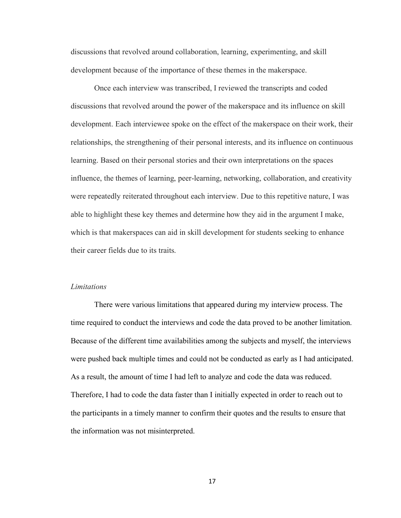discussions that revolved around collaboration, learning, experimenting, and skill development because of the importance of these themes in the makerspace.

Once each interview was transcribed, I reviewed the transcripts and coded discussions that revolved around the power of the makerspace and its influence on skill development. Each interviewee spoke on the effect of the makerspace on their work, their relationships, the strengthening of their personal interests, and its influence on continuous learning. Based on their personal stories and their own interpretations on the spaces influence, the themes of learning, peer-learning, networking, collaboration, and creativity were repeatedly reiterated throughout each interview. Due to this repetitive nature, I was able to highlight these key themes and determine how they aid in the argument I make, which is that makerspaces can aid in skill development for students seeking to enhance their career fields due to its traits.

#### *Limitations*

There were various limitations that appeared during my interview process. The time required to conduct the interviews and code the data proved to be another limitation. Because of the different time availabilities among the subjects and myself, the interviews were pushed back multiple times and could not be conducted as early as I had anticipated. As a result, the amount of time I had left to analyze and code the data was reduced. Therefore, I had to code the data faster than I initially expected in order to reach out to the participants in a timely manner to confirm their quotes and the results to ensure that the information was not misinterpreted.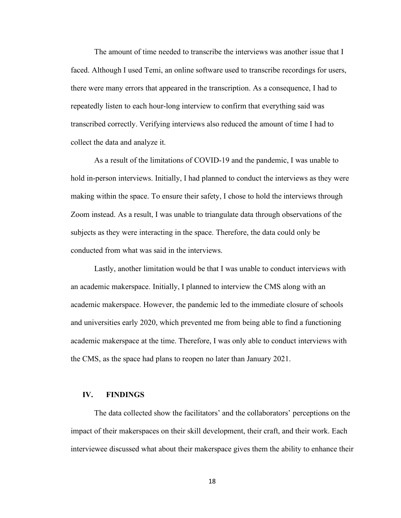The amount of time needed to transcribe the interviews was another issue that I faced. Although I used Temi, an online software used to transcribe recordings for users, there were many errors that appeared in the transcription. As a consequence, I had to repeatedly listen to each hour-long interview to confirm that everything said was transcribed correctly. Verifying interviews also reduced the amount of time I had to collect the data and analyze it.

As a result of the limitations of COVID-19 and the pandemic, I was unable to hold in-person interviews. Initially, I had planned to conduct the interviews as they were making within the space. To ensure their safety, I chose to hold the interviews through Zoom instead. As a result, I was unable to triangulate data through observations of the subjects as they were interacting in the space. Therefore, the data could only be conducted from what was said in the interviews.

Lastly, another limitation would be that I was unable to conduct interviews with an academic makerspace. Initially, I planned to interview the CMS along with an academic makerspace. However, the pandemic led to the immediate closure of schools and universities early 2020, which prevented me from being able to find a functioning academic makerspace at the time. Therefore, I was only able to conduct interviews with the CMS, as the space had plans to reopen no later than January 2021.

#### **IV. FINDINGS**

The data collected show the facilitators' and the collaborators' perceptions on the impact of their makerspaces on their skill development, their craft, and their work. Each interviewee discussed what about their makerspace gives them the ability to enhance their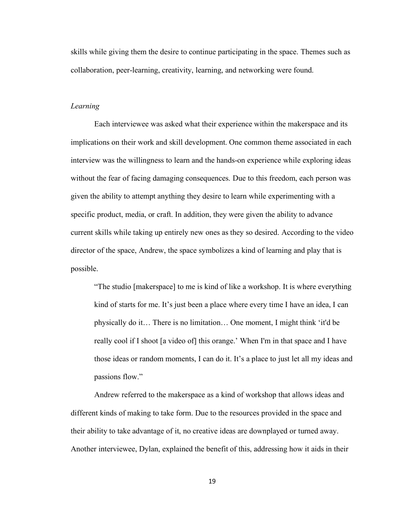skills while giving them the desire to continue participating in the space. Themes such as collaboration, peer-learning, creativity, learning, and networking were found.

#### *Learning*

Each interviewee was asked what their experience within the makerspace and its implications on their work and skill development. One common theme associated in each interview was the willingness to learn and the hands-on experience while exploring ideas without the fear of facing damaging consequences. Due to this freedom, each person was given the ability to attempt anything they desire to learn while experimenting with a specific product, media, or craft. In addition, they were given the ability to advance current skills while taking up entirely new ones as they so desired. According to the video director of the space, Andrew, the space symbolizes a kind of learning and play that is possible.

"The studio [makerspace] to me is kind of like a workshop. It is where everything kind of starts for me. It's just been a place where every time I have an idea, I can physically do it… There is no limitation… One moment, I might think 'it'd be really cool if I shoot [a video of] this orange.' When I'm in that space and I have those ideas or random moments, I can do it. It's a place to just let all my ideas and passions flow."

Andrew referred to the makerspace as a kind of workshop that allows ideas and different kinds of making to take form. Due to the resources provided in the space and their ability to take advantage of it, no creative ideas are downplayed or turned away. Another interviewee, Dylan, explained the benefit of this, addressing how it aids in their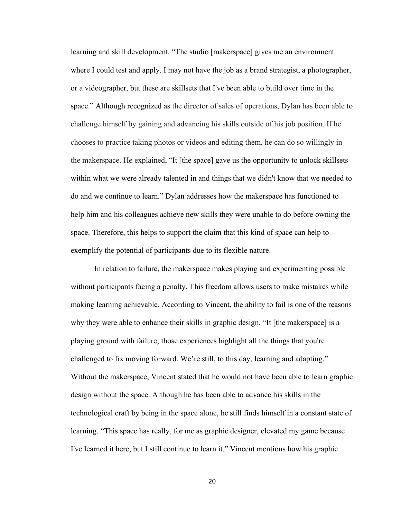learning and skill development. "The studio [makerspace] gives me an environment where I could test and apply. I may not have the job as a brand strategist, a photographer, or a videographer, but these are skillsets that I've been able to build over time in the space." Although recognized as the director of sales of operations, Dylan has been able to challenge himself by gaining and advancing his skills outside of his job position. If he chooses to practice taking photos or videos and editing them, he can do so willingly in the makerspace. He explained, "It [the space] gave us the opportunity to unlock skillsets within what we were already talented in and things that we didn't know that we needed to do and we continue to learn." Dylan addresses how the makerspace has functioned to help him and his colleagues achieve new skills they were unable to do before owning the space. Therefore, this helps to support the claim that this kind of space can help to exemplify the potential of participants due to its flexible nature.

In relation to failure, the makerspace makes playing and experimenting possible without participants facing a penalty. This freedom allows users to make mistakes while making learning achievable. According to Vincent, the ability to fail is one of the reasons why they were able to enhance their skills in graphic design. "It [the makerspace] is a playing ground with failure; those experiences highlight all the things that you're challenged to fix moving forward. We're still, to this day, learning and adapting." Without the makerspace, Vincent stated that he would not have been able to learn graphic design without the space. Although he has been able to advance his skills in the technological craft by being in the space alone, he still finds himself in a constant state of learning. "This space has really, for me as graphic designer, elevated my game because I've learned it here, but I still continue to learn it." Vincent mentions how his graphic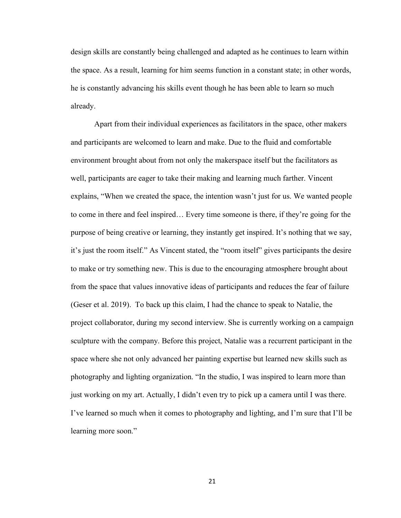design skills are constantly being challenged and adapted as he continues to learn within the space. As a result, learning for him seems function in a constant state; in other words, he is constantly advancing his skills event though he has been able to learn so much already.

Apart from their individual experiences as facilitators in the space, other makers and participants are welcomed to learn and make. Due to the fluid and comfortable environment brought about from not only the makerspace itself but the facilitators as well, participants are eager to take their making and learning much farther. Vincent explains, "When we created the space, the intention wasn't just for us. We wanted people to come in there and feel inspired… Every time someone is there, if they're going for the purpose of being creative or learning, they instantly get inspired. It's nothing that we say, it's just the room itself." As Vincent stated, the "room itself" gives participants the desire to make or try something new. This is due to the encouraging atmosphere brought about from the space that values innovative ideas of participants and reduces the fear of failure (Geser et al. 2019). To back up this claim, I had the chance to speak to Natalie, the project collaborator, during my second interview. She is currently working on a campaign sculpture with the company. Before this project, Natalie was a recurrent participant in the space where she not only advanced her painting expertise but learned new skills such as photography and lighting organization. "In the studio, I was inspired to learn more than just working on my art. Actually, I didn't even try to pick up a camera until I was there. I've learned so much when it comes to photography and lighting, and I'm sure that I'll be learning more soon."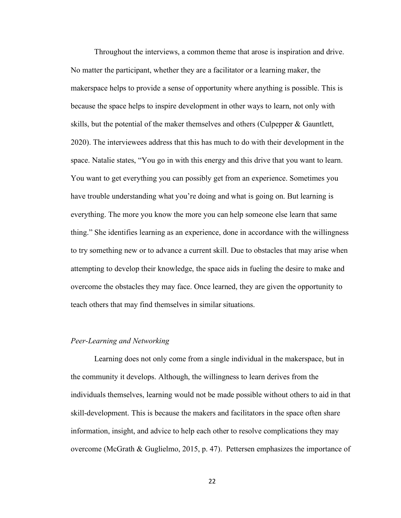Throughout the interviews, a common theme that arose is inspiration and drive. No matter the participant, whether they are a facilitator or a learning maker, the makerspace helps to provide a sense of opportunity where anything is possible. This is because the space helps to inspire development in other ways to learn, not only with skills, but the potential of the maker themselves and others (Culpepper & Gauntlett, 2020). The interviewees address that this has much to do with their development in the space. Natalie states, "You go in with this energy and this drive that you want to learn. You want to get everything you can possibly get from an experience. Sometimes you have trouble understanding what you're doing and what is going on. But learning is everything. The more you know the more you can help someone else learn that same thing." She identifies learning as an experience, done in accordance with the willingness to try something new or to advance a current skill. Due to obstacles that may arise when attempting to develop their knowledge, the space aids in fueling the desire to make and overcome the obstacles they may face. Once learned, they are given the opportunity to teach others that may find themselves in similar situations.

#### *Peer-Learning and Networking*

Learning does not only come from a single individual in the makerspace, but in the community it develops. Although, the willingness to learn derives from the individuals themselves, learning would not be made possible without others to aid in that skill-development. This is because the makers and facilitators in the space often share information, insight, and advice to help each other to resolve complications they may overcome (McGrath & Guglielmo, 2015, p. 47). Pettersen emphasizes the importance of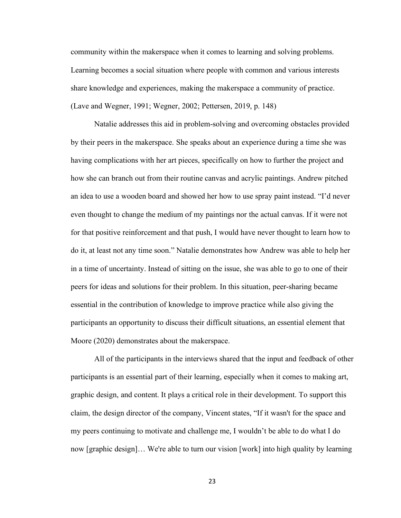community within the makerspace when it comes to learning and solving problems. Learning becomes a social situation where people with common and various interests share knowledge and experiences, making the makerspace a community of practice. (Lave and Wegner, 1991; Wegner, 2002; Pettersen, 2019, p. 148)

Natalie addresses this aid in problem-solving and overcoming obstacles provided by their peers in the makerspace. She speaks about an experience during a time she was having complications with her art pieces, specifically on how to further the project and how she can branch out from their routine canvas and acrylic paintings. Andrew pitched an idea to use a wooden board and showed her how to use spray paint instead. "I'd never even thought to change the medium of my paintings nor the actual canvas. If it were not for that positive reinforcement and that push, I would have never thought to learn how to do it, at least not any time soon." Natalie demonstrates how Andrew was able to help her in a time of uncertainty. Instead of sitting on the issue, she was able to go to one of their peers for ideas and solutions for their problem. In this situation, peer-sharing became essential in the contribution of knowledge to improve practice while also giving the participants an opportunity to discuss their difficult situations, an essential element that Moore (2020) demonstrates about the makerspace.

All of the participants in the interviews shared that the input and feedback of other participants is an essential part of their learning, especially when it comes to making art, graphic design, and content. It plays a critical role in their development. To support this claim, the design director of the company, Vincent states, "If it wasn't for the space and my peers continuing to motivate and challenge me, I wouldn't be able to do what I do now [graphic design]… We're able to turn our vision [work] into high quality by learning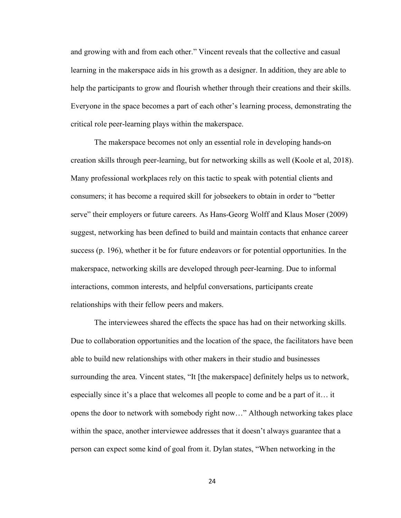and growing with and from each other." Vincent reveals that the collective and casual learning in the makerspace aids in his growth as a designer. In addition, they are able to help the participants to grow and flourish whether through their creations and their skills. Everyone in the space becomes a part of each other's learning process, demonstrating the critical role peer-learning plays within the makerspace.

The makerspace becomes not only an essential role in developing hands-on creation skills through peer-learning, but for networking skills as well (Koole et al, 2018). Many professional workplaces rely on this tactic to speak with potential clients and consumers; it has become a required skill for jobseekers to obtain in order to "better serve" their employers or future careers. As Hans-Georg Wolff and Klaus Moser (2009) suggest, networking has been defined to build and maintain contacts that enhance career success (p. 196), whether it be for future endeavors or for potential opportunities. In the makerspace, networking skills are developed through peer-learning. Due to informal interactions, common interests, and helpful conversations, participants create relationships with their fellow peers and makers.

The interviewees shared the effects the space has had on their networking skills. Due to collaboration opportunities and the location of the space, the facilitators have been able to build new relationships with other makers in their studio and businesses surrounding the area. Vincent states, "It [the makerspace] definitely helps us to network, especially since it's a place that welcomes all people to come and be a part of it… it opens the door to network with somebody right now…" Although networking takes place within the space, another interviewee addresses that it doesn't always guarantee that a person can expect some kind of goal from it. Dylan states, "When networking in the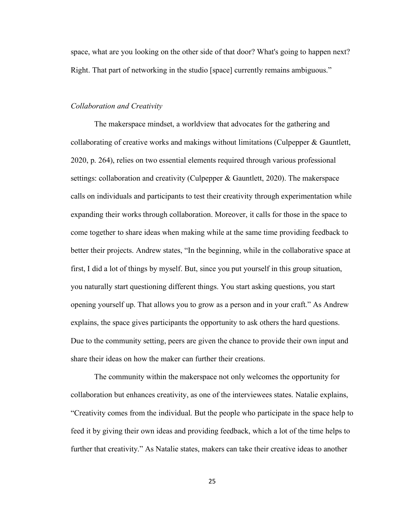space, what are you looking on the other side of that door? What's going to happen next? Right. That part of networking in the studio [space] currently remains ambiguous."

#### *Collaboration and Creativity*

The makerspace mindset, a worldview that advocates for the gathering and collaborating of creative works and makings without limitations (Culpepper & Gauntlett, 2020, p. 264), relies on two essential elements required through various professional settings: collaboration and creativity (Culpepper & Gauntlett, 2020). The makerspace calls on individuals and participants to test their creativity through experimentation while expanding their works through collaboration. Moreover, it calls for those in the space to come together to share ideas when making while at the same time providing feedback to better their projects. Andrew states, "In the beginning, while in the collaborative space at first, I did a lot of things by myself. But, since you put yourself in this group situation, you naturally start questioning different things. You start asking questions, you start opening yourself up. That allows you to grow as a person and in your craft." As Andrew explains, the space gives participants the opportunity to ask others the hard questions. Due to the community setting, peers are given the chance to provide their own input and share their ideas on how the maker can further their creations.

The community within the makerspace not only welcomes the opportunity for collaboration but enhances creativity, as one of the interviewees states. Natalie explains, "Creativity comes from the individual. But the people who participate in the space help to feed it by giving their own ideas and providing feedback, which a lot of the time helps to further that creativity." As Natalie states, makers can take their creative ideas to another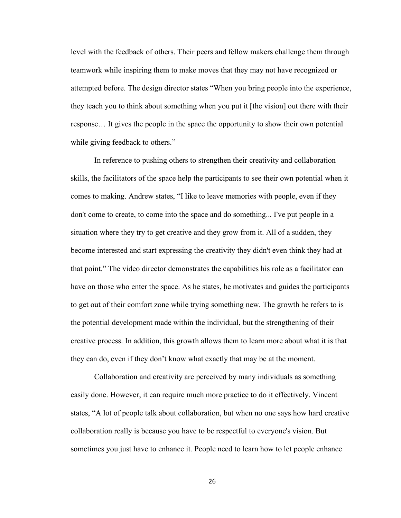level with the feedback of others. Their peers and fellow makers challenge them through teamwork while inspiring them to make moves that they may not have recognized or attempted before. The design director states "When you bring people into the experience, they teach you to think about something when you put it [the vision] out there with their response… It gives the people in the space the opportunity to show their own potential while giving feedback to others."

In reference to pushing others to strengthen their creativity and collaboration skills, the facilitators of the space help the participants to see their own potential when it comes to making. Andrew states, "I like to leave memories with people, even if they don't come to create, to come into the space and do something... I've put people in a situation where they try to get creative and they grow from it. All of a sudden, they become interested and start expressing the creativity they didn't even think they had at that point." The video director demonstrates the capabilities his role as a facilitator can have on those who enter the space. As he states, he motivates and guides the participants to get out of their comfort zone while trying something new. The growth he refers to is the potential development made within the individual, but the strengthening of their creative process. In addition, this growth allows them to learn more about what it is that they can do, even if they don't know what exactly that may be at the moment.

Collaboration and creativity are perceived by many individuals as something easily done. However, it can require much more practice to do it effectively. Vincent states, "A lot of people talk about collaboration, but when no one says how hard creative collaboration really is because you have to be respectful to everyone's vision. But sometimes you just have to enhance it. People need to learn how to let people enhance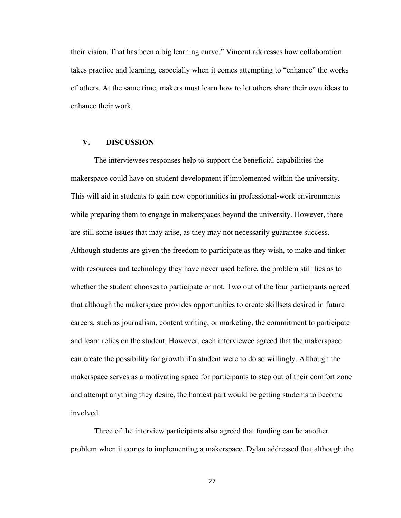their vision. That has been a big learning curve." Vincent addresses how collaboration takes practice and learning, especially when it comes attempting to "enhance" the works of others. At the same time, makers must learn how to let others share their own ideas to enhance their work.

#### **V. DISCUSSION**

The interviewees responses help to support the beneficial capabilities the makerspace could have on student development if implemented within the university. This will aid in students to gain new opportunities in professional-work environments while preparing them to engage in makerspaces beyond the university. However, there are still some issues that may arise, as they may not necessarily guarantee success. Although students are given the freedom to participate as they wish, to make and tinker with resources and technology they have never used before, the problem still lies as to whether the student chooses to participate or not. Two out of the four participants agreed that although the makerspace provides opportunities to create skillsets desired in future careers, such as journalism, content writing, or marketing, the commitment to participate and learn relies on the student. However, each interviewee agreed that the makerspace can create the possibility for growth if a student were to do so willingly. Although the makerspace serves as a motivating space for participants to step out of their comfort zone and attempt anything they desire, the hardest part would be getting students to become involved.

Three of the interview participants also agreed that funding can be another problem when it comes to implementing a makerspace. Dylan addressed that although the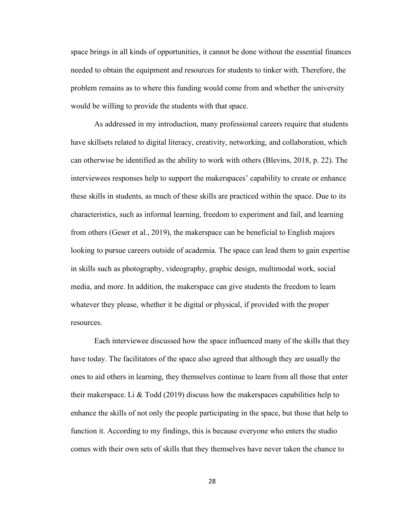space brings in all kinds of opportunities, it cannot be done without the essential finances needed to obtain the equipment and resources for students to tinker with. Therefore, the problem remains as to where this funding would come from and whether the university would be willing to provide the students with that space.

As addressed in my introduction, many professional careers require that students have skillsets related to digital literacy, creativity, networking, and collaboration, which can otherwise be identified as the ability to work with others (Blevins, 2018, p. 22). The interviewees responses help to support the makerspaces' capability to create or enhance these skills in students, as much of these skills are practiced within the space. Due to its characteristics, such as informal learning, freedom to experiment and fail, and learning from others (Geser et al., 2019), the makerspace can be beneficial to English majors looking to pursue careers outside of academia. The space can lead them to gain expertise in skills such as photography, videography, graphic design, multimodal work, social media, and more. In addition, the makerspace can give students the freedom to learn whatever they please, whether it be digital or physical, if provided with the proper resources.

Each interviewee discussed how the space influenced many of the skills that they have today. The facilitators of the space also agreed that although they are usually the ones to aid others in learning, they themselves continue to learn from all those that enter their makerspace. Li  $\&$  Todd (2019) discuss how the makerspaces capabilities help to enhance the skills of not only the people participating in the space, but those that help to function it. According to my findings, this is because everyone who enters the studio comes with their own sets of skills that they themselves have never taken the chance to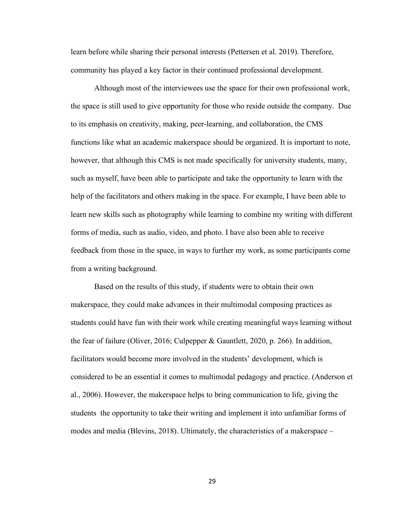learn before while sharing their personal interests (Pettersen et al. 2019). Therefore, community has played a key factor in their continued professional development.

Although most of the interviewees use the space for their own professional work, the space is still used to give opportunity for those who reside outside the company. Due to its emphasis on creativity, making, peer-learning, and collaboration, the CMS functions like what an academic makerspace should be organized. It is important to note, however, that although this CMS is not made specifically for university students, many, such as myself, have been able to participate and take the opportunity to learn with the help of the facilitators and others making in the space. For example, I have been able to learn new skills such as photography while learning to combine my writing with different forms of media, such as audio, video, and photo. I have also been able to receive feedback from those in the space, in ways to further my work, as some participants come from a writing background.

Based on the results of this study, if students were to obtain their own makerspace, they could make advances in their multimodal composing practices as students could have fun with their work while creating meaningful ways learning without the fear of failure (Oliver, 2016; Culpepper & Gauntlett, 2020, p. 266). In addition, facilitators would become more involved in the students' development, which is considered to be an essential it comes to multimodal pedagogy and practice. (Anderson et al., 2006). However, the makerspace helps to bring communication to life, giving the students the opportunity to take their writing and implement it into unfamiliar forms of modes and media (Blevins, 2018). Ultimately, the characteristics of a makerspace –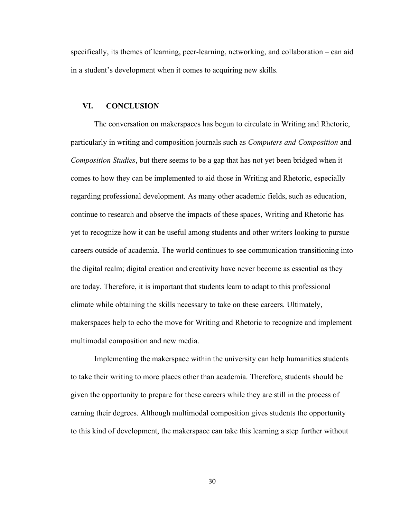specifically, its themes of learning, peer-learning, networking, and collaboration – can aid in a student's development when it comes to acquiring new skills.

#### **VI. CONCLUSION**

The conversation on makerspaces has begun to circulate in Writing and Rhetoric, particularly in writing and composition journals such as *Computers and Composition* and *Composition Studies*, but there seems to be a gap that has not yet been bridged when it comes to how they can be implemented to aid those in Writing and Rhetoric, especially regarding professional development. As many other academic fields, such as education, continue to research and observe the impacts of these spaces, Writing and Rhetoric has yet to recognize how it can be useful among students and other writers looking to pursue careers outside of academia. The world continues to see communication transitioning into the digital realm; digital creation and creativity have never become as essential as they are today. Therefore, it is important that students learn to adapt to this professional climate while obtaining the skills necessary to take on these careers. Ultimately, makerspaces help to echo the move for Writing and Rhetoric to recognize and implement multimodal composition and new media.

Implementing the makerspace within the university can help humanities students to take their writing to more places other than academia. Therefore, students should be given the opportunity to prepare for these careers while they are still in the process of earning their degrees. Although multimodal composition gives students the opportunity to this kind of development, the makerspace can take this learning a step further without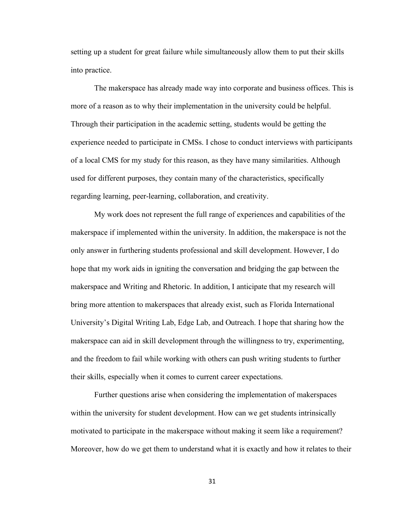setting up a student for great failure while simultaneously allow them to put their skills into practice.

The makerspace has already made way into corporate and business offices. This is more of a reason as to why their implementation in the university could be helpful. Through their participation in the academic setting, students would be getting the experience needed to participate in CMSs. I chose to conduct interviews with participants of a local CMS for my study for this reason, as they have many similarities. Although used for different purposes, they contain many of the characteristics, specifically regarding learning, peer-learning, collaboration, and creativity.

My work does not represent the full range of experiences and capabilities of the makerspace if implemented within the university. In addition, the makerspace is not the only answer in furthering students professional and skill development. However, I do hope that my work aids in igniting the conversation and bridging the gap between the makerspace and Writing and Rhetoric. In addition, I anticipate that my research will bring more attention to makerspaces that already exist, such as Florida International University's Digital Writing Lab, Edge Lab, and Outreach. I hope that sharing how the makerspace can aid in skill development through the willingness to try, experimenting, and the freedom to fail while working with others can push writing students to further their skills, especially when it comes to current career expectations.

Further questions arise when considering the implementation of makerspaces within the university for student development. How can we get students intrinsically motivated to participate in the makerspace without making it seem like a requirement? Moreover, how do we get them to understand what it is exactly and how it relates to their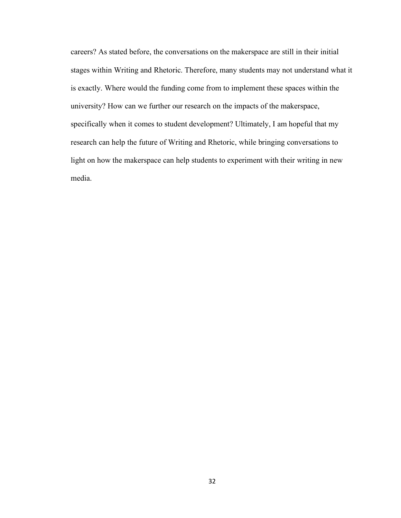careers? As stated before, the conversations on the makerspace are still in their initial stages within Writing and Rhetoric. Therefore, many students may not understand what it is exactly. Where would the funding come from to implement these spaces within the university? How can we further our research on the impacts of the makerspace, specifically when it comes to student development? Ultimately, I am hopeful that my research can help the future of Writing and Rhetoric, while bringing conversations to light on how the makerspace can help students to experiment with their writing in new media.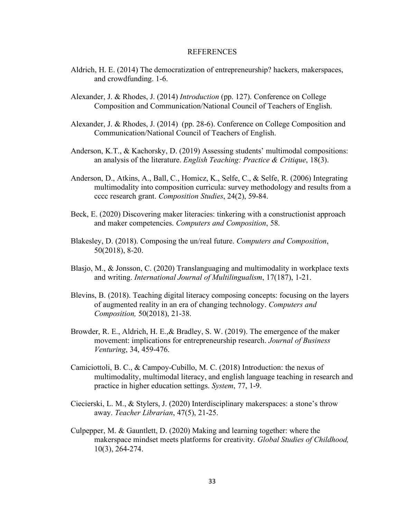#### **REFERENCES**

- Aldrich, H. E. (2014) The democratization of entrepreneurship? hackers, makerspaces, and crowdfunding. 1-6.
- Alexander, J. & Rhodes, J. (2014) *Introduction* (pp. 127). Conference on College Composition and Communication/National Council of Teachers of English.
- Alexander, J. & Rhodes, J. (2014) (pp. 28-6). Conference on College Composition and Communication/National Council of Teachers of English.
- Anderson, K.T., & Kachorsky, D. (2019) Assessing students' multimodal compositions: an analysis of the literature. *English Teaching: Practice & Critique*, 18(3).
- Anderson, D., Atkins, A., Ball, C., Homicz, K., Selfe, C., & Selfe, R. (2006) Integrating multimodality into composition curricula: survey methodology and results from a cccc research grant. *Composition Studies*, 24(2), 59-84.
- Beck, E. (2020) Discovering maker literacies: tinkering with a constructionist approach and maker competencies. *Computers and Composition*, 58.
- Blakesley, D. (2018). Composing the un/real future. *Computers and Composition*, 50(2018), 8-20.
- Blasjo, M., & Jonsson, C. (2020) Translanguaging and multimodality in workplace texts and writing. *International Journal of Multilingualism*, 17(187), 1-21.
- Blevins, B. (2018). Teaching digital literacy composing concepts: focusing on the layers of augmented reality in an era of changing technology. *Computers and Composition,* 50(2018), 21-38.
- Browder, R. E., Aldrich, H. E.,& Bradley, S. W. (2019). The emergence of the maker movement: implications for entrepreneurship research. *Journal of Business Venturing*, 34, 459-476.
- Camiciottoli, B. C., & Campoy-Cubillo, M. C. (2018) Introduction: the nexus of multimodality, multimodal literacy, and english language teaching in research and practice in higher education settings. *System*, 77, 1-9.
- Ciecierski, L. M., & Stylers, J. (2020) Interdisciplinary makerspaces: a stone's throw away. *Teacher Librarian*, 47(5), 21-25.
- Culpepper, M. & Gauntlett, D. (2020) Making and learning together: where the makerspace mindset meets platforms for creativity. *Global Studies of Childhood,*  10(3), 264-274.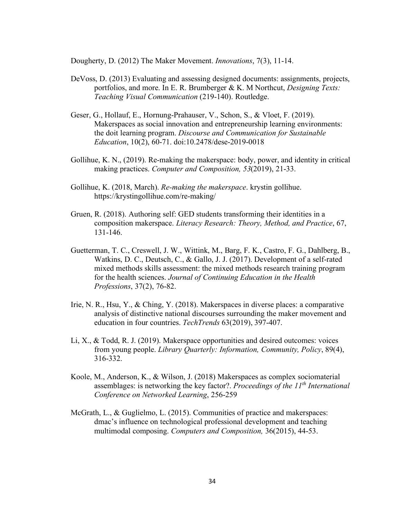Dougherty, D. (2012) The Maker Movement. *Innovations*, 7(3), 11-14.

- DeVoss, D. (2013) Evaluating and assessing designed documents: assignments, projects, portfolios, and more. In E. R. Brumberger & K. M Northcut, *Designing Texts: Teaching Visual Communication* (219-140). Routledge.
- Geser, G., Hollauf, E., Hornung-Prahauser, V., Schon, S., & Vloet, F. (2019). Makerspaces as social innovation and entrepreneurship learning environments: the doit learning program. *Discourse and Communication for Sustainable Education*, 10(2), 60-71. doi:10.2478/dese-2019-0018
- Gollihue, K. N., (2019). Re-making the makerspace: body, power, and identity in critical making practices. *Computer and Composition, 53*(2019), 21-33.
- Gollihue, K. (2018, March). *Re-making the makerspace*. krystin gollihue. https://krystingollihue.com/re-making/
- Gruen, R. (2018). Authoring self: GED students transforming their identities in a composition makerspace. *Literacy Research: Theory, Method, and Practice*, 67, 131-146.
- Guetterman, T. C., Creswell, J. W., Wittink, M., Barg, F. K., Castro, F. G., Dahlberg, B., Watkins, D. C., Deutsch, C., & Gallo, J. J. (2017). Development of a self-rated mixed methods skills assessment: the mixed methods research training program for the health sciences. *Journal of Continuing Education in the Health Professions*, 37(2), 76-82.
- Irie, N. R., Hsu, Y., & Ching, Y. (2018). Makerspaces in diverse places: a comparative analysis of distinctive national discourses surrounding the maker movement and education in four countries. *TechTrends* 63(2019), 397-407.
- Li, X., & Todd, R. J. (2019). Makerspace opportunities and desired outcomes: voices from young people. *Library Quarterly: Information, Community, Policy*, 89(4), 316-332.
- Koole, M., Anderson, K., & Wilson, J. (2018) Makerspaces as complex sociomaterial assemblages: is networking the key factor?. *Proceedings of the 11th International Conference on Networked Learning*, 256-259
- McGrath, L., & Guglielmo, L. (2015). Communities of practice and makerspaces: dmac's influence on technological professional development and teaching multimodal composing. *Computers and Composition,* 36(2015), 44-53.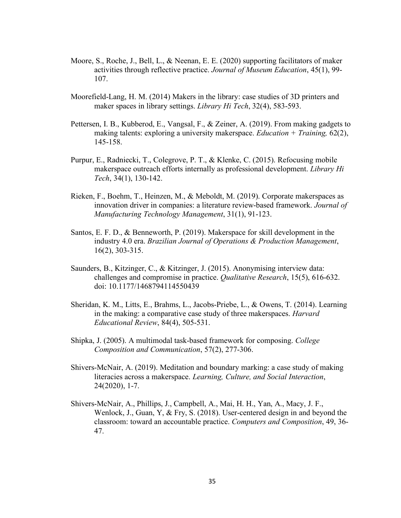- Moore, S., Roche, J., Bell, L., & Neenan, E. E. (2020) supporting facilitators of maker activities through reflective practice. *Journal of Museum Education*, 45(1), 99- 107.
- Moorefield-Lang, H. M. (2014) Makers in the library: case studies of 3D printers and maker spaces in library settings. *Library Hi Tech*, 32(4), 583-593.
- Pettersen, I. B., Kubberod, E., Vangsal, F., & Zeiner, A. (2019). From making gadgets to making talents: exploring a university makerspace. *Education + Training,* 62(2), 145-158.
- Purpur, E., Radniecki, T., Colegrove, P. T., & Klenke, C. (2015). Refocusing mobile makerspace outreach efforts internally as professional development. *Library Hi Tech*, 34(1), 130-142.
- Rieken, F., Boehm, T., Heinzen, M., & Meboldt, M. (2019). Corporate makerspaces as innovation driver in companies: a literature review-based framework. *Journal of Manufacturing Technology Management*, 31(1), 91-123.
- Santos, E. F. D., & Benneworth, P. (2019). Makerspace for skill development in the industry 4.0 era. *Brazilian Journal of Operations & Production Management*, 16(2), 303-315.
- Saunders, B., Kitzinger, C., & Kitzinger, J. (2015). Anonymising interview data: challenges and compromise in practice. *Qualitative Research*, 15(5), 616-632. doi: 10.1177/1468794114550439
- Sheridan, K. M., Litts, E., Brahms, L., Jacobs-Priebe, L., & Owens, T. (2014). Learning in the making: a comparative case study of three makerspaces. *Harvard Educational Review*, 84(4), 505-531.
- Shipka, J. (2005). A multimodal task-based framework for composing. *College Composition and Communication*, 57(2), 277-306.
- Shivers-McNair, A. (2019). Meditation and boundary marking: a case study of making literacies across a makerspace. *Learning, Culture, and Social Interaction*, 24(2020), 1-7.
- Shivers-McNair, A., Phillips, J., Campbell, A., Mai, H. H., Yan, A., Macy, J. F., Wenlock, J., Guan, Y, & Fry, S. (2018). User-centered design in and beyond the classroom: toward an accountable practice. *Computers and Composition*, 49, 36- 47.